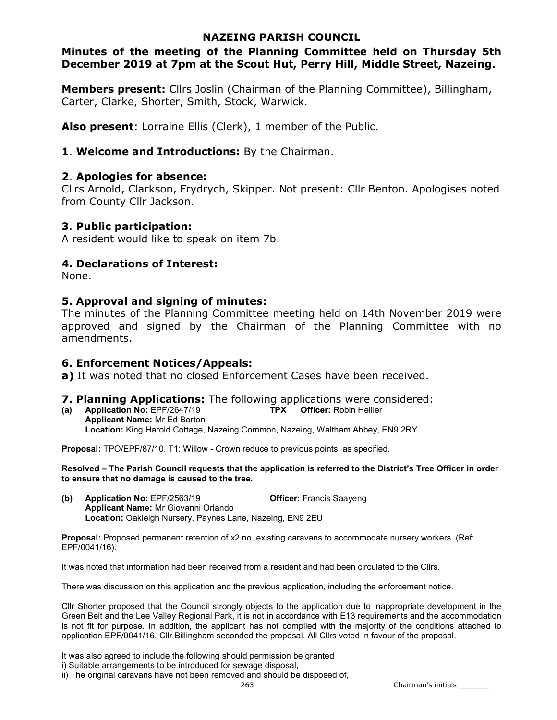# NAZEING PARISH COUNCIL

# Minutes of the meeting of the Planning Committee held on Thursday 5th December 2019 at 7pm at the Scout Hut, Perry Hill, Middle Street, Nazeing.

Members present: Cllrs Joslin (Chairman of the Planning Committee), Billingham, Carter, Clarke, Shorter, Smith, Stock, Warwick.

Also present: Lorraine Ellis (Clerk), 1 member of the Public.

### 1. Welcome and Introductions: By the Chairman.

#### 2. Apologies for absence:

Cllrs Arnold, Clarkson, Frydrych, Skipper. Not present: Cllr Benton. Apologises noted from County Cllr Jackson.

#### 3. Public participation:

A resident would like to speak on item 7b.

### 4. Declarations of Interest:

None.

#### 5. Approval and signing of minutes:

The minutes of the Planning Committee meeting held on 14th November 2019 were approved and signed by the Chairman of the Planning Committee with no amendments.

# 6. Enforcement Notices/Appeals:

a) It was noted that no closed Enforcement Cases have been received.

# **7. Planning Applications:** The following applications were considered:<br>(a) Application No: EPF/2647/19 **TPX** Officer: Robin Hellier

(a) Application No:  $EPF/2647/19$ Applicant Name: Mr Ed Borton Location: King Harold Cottage, Nazeing Common, Nazeing, Waltham Abbey, EN9 2RY

Proposal: TPO/EPF/87/10. T1: Willow - Crown reduce to previous points, as specified.

Resolved – The Parish Council requests that the application is referred to the District's Tree Officer in order to ensure that no damage is caused to the tree.

(b) Application No: EPF/2563/19 Officer: Francis Saayeng Applicant Name: Mr Giovanni Orlando Location: Oakleigh Nursery, Paynes Lane, Nazeing, EN9 2EU

Proposal: Proposed permanent retention of x2 no. existing caravans to accommodate nursery workers. (Ref: EPF/0041/16).

It was noted that information had been received from a resident and had been circulated to the Cllrs.

There was discussion on this application and the previous application, including the enforcement notice.

Cllr Shorter proposed that the Council strongly objects to the application due to inappropriate development in the Green Belt and the Lee Valley Regional Park, it is not in accordance with E13 requirements and the accommodation is not fit for purpose. In addition, the applicant has not complied with the majority of the conditions attached to application EPF/0041/16. Cllr Billingham seconded the proposal. All Cllrs voted in favour of the proposal.

It was also agreed to include the following should permission be granted

ii) The original caravans have not been removed and should be disposed of,

263 Chairman's initials \_\_\_\_\_\_\_

i) Suitable arrangements to be introduced for sewage disposal,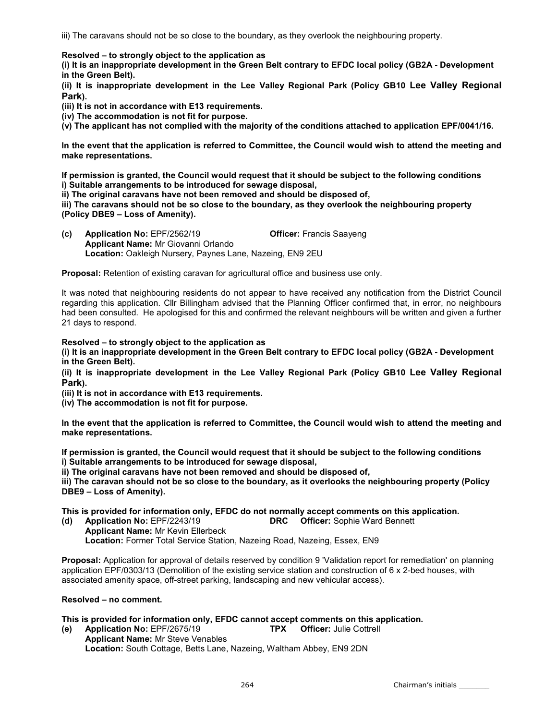iii) The caravans should not be so close to the boundary, as they overlook the neighbouring property.

Resolved – to strongly object to the application as

(i) It is an inappropriate development in the Green Belt contrary to EFDC local policy (GB2A - Development in the Green Belt).

(ii) It is inappropriate development in the Lee Valley Regional Park (Policy GB10 Lee Valley Regional Park).

(iii) It is not in accordance with E13 requirements.

(iv) The accommodation is not fit for purpose.

(v) The applicant has not complied with the majority of the conditions attached to application EPF/0041/16.

In the event that the application is referred to Committee, the Council would wish to attend the meeting and make representations.

If permission is granted, the Council would request that it should be subject to the following conditions i) Suitable arrangements to be introduced for sewage disposal,

ii) The original caravans have not been removed and should be disposed of,

iii) The caravans should not be so close to the boundary, as they overlook the neighbouring property (Policy DBE9 – Loss of Amenity).

(c) Application No: EPF/2562/19 Officer: Francis Saayeng Applicant Name: Mr Giovanni Orlando Location: Oakleigh Nursery, Paynes Lane, Nazeing, EN9 2EU

Proposal: Retention of existing caravan for agricultural office and business use only.

It was noted that neighbouring residents do not appear to have received any notification from the District Council regarding this application. Cllr Billingham advised that the Planning Officer confirmed that, in error, no neighbours had been consulted. He apologised for this and confirmed the relevant neighbours will be written and given a further 21 days to respond.

Resolved – to strongly object to the application as

(i) It is an inappropriate development in the Green Belt contrary to EFDC local policy (GB2A - Development in the Green Belt).

(ii) It is inappropriate development in the Lee Valley Regional Park (Policy GB10 Lee Valley Regional Park).

(iii) It is not in accordance with E13 requirements.

(iv) The accommodation is not fit for purpose.

In the event that the application is referred to Committee, the Council would wish to attend the meeting and make representations.

If permission is granted, the Council would request that it should be subject to the following conditions i) Suitable arrangements to be introduced for sewage disposal,

ii) The original caravans have not been removed and should be disposed of,

iii) The caravan should not be so close to the boundary, as it overlooks the neighbouring property (Policy DBE9 – Loss of Amenity).

This is provided for information only, EFDC do not normally accept comments on this application.

(d) Application No: EPF/2243/19 DRC Officer: Sophie Ward Bennett

Applicant Name: Mr Kevin Ellerbeck Location: Former Total Service Station, Nazeing Road, Nazeing, Essex, EN9

Proposal: Application for approval of details reserved by condition 9 'Validation report for remediation' on planning application EPF/0303/13 (Demolition of the existing service station and construction of 6 x 2-bed houses, with associated amenity space, off-street parking, landscaping and new vehicular access).

#### Resolved – no comment.

This is provided for information only, EFDC cannot accept comments on this application.

(e) Application No: EPF/2675/19 TPX Officer: Julie Cottrell Applicant Name: Mr Steve Venables Location: South Cottage, Betts Lane, Nazeing, Waltham Abbey, EN9 2DN